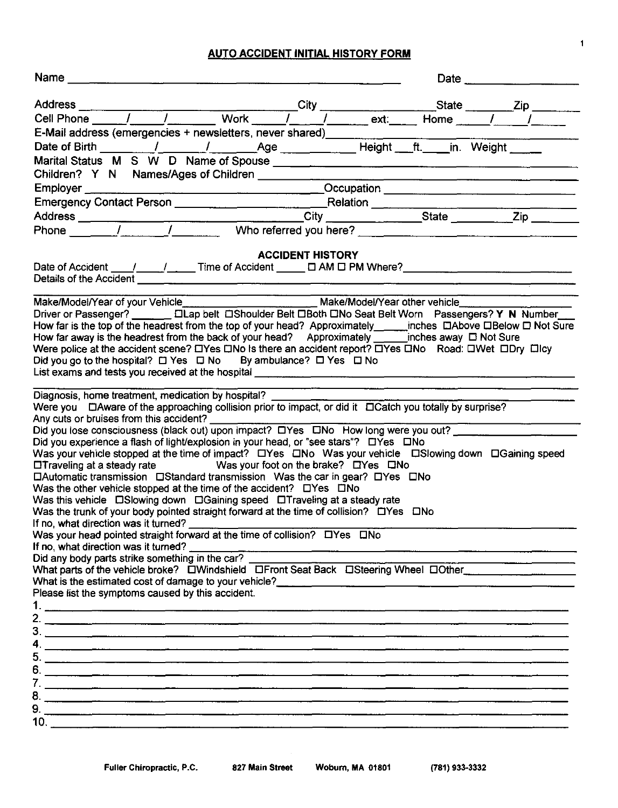AUTO ACCIDENT INITIAL HISTORY FORM

| Address City State Zip City State Zip                                                                                                                                                                                                                                                                                                                                                                                                                                                                                                                                                                                                                                                             |                         |  |  |
|---------------------------------------------------------------------------------------------------------------------------------------------------------------------------------------------------------------------------------------------------------------------------------------------------------------------------------------------------------------------------------------------------------------------------------------------------------------------------------------------------------------------------------------------------------------------------------------------------------------------------------------------------------------------------------------------------|-------------------------|--|--|
|                                                                                                                                                                                                                                                                                                                                                                                                                                                                                                                                                                                                                                                                                                   |                         |  |  |
| E-Mail address (emergencies + newsletters, never shared) _______________________                                                                                                                                                                                                                                                                                                                                                                                                                                                                                                                                                                                                                  |                         |  |  |
|                                                                                                                                                                                                                                                                                                                                                                                                                                                                                                                                                                                                                                                                                                   |                         |  |  |
|                                                                                                                                                                                                                                                                                                                                                                                                                                                                                                                                                                                                                                                                                                   |                         |  |  |
|                                                                                                                                                                                                                                                                                                                                                                                                                                                                                                                                                                                                                                                                                                   |                         |  |  |
|                                                                                                                                                                                                                                                                                                                                                                                                                                                                                                                                                                                                                                                                                                   |                         |  |  |
|                                                                                                                                                                                                                                                                                                                                                                                                                                                                                                                                                                                                                                                                                                   |                         |  |  |
|                                                                                                                                                                                                                                                                                                                                                                                                                                                                                                                                                                                                                                                                                                   |                         |  |  |
|                                                                                                                                                                                                                                                                                                                                                                                                                                                                                                                                                                                                                                                                                                   |                         |  |  |
|                                                                                                                                                                                                                                                                                                                                                                                                                                                                                                                                                                                                                                                                                                   |                         |  |  |
| Date of Accident ____/______/______Time of Accident ______ [ AM [ PM Where? __________________________________                                                                                                                                                                                                                                                                                                                                                                                                                                                                                                                                                                                    | <b>ACCIDENT HISTORY</b> |  |  |
| Make/Model/Year of your Vehicle__________________________________Make/Model/Year other vehicle______<br>Driver or Passenger? _________ [ILap belt [IShoulder Belt IIBoth DNo Seat Belt Worn Passengers? Y N Number<br>How far is the top of the headrest from the top of your head? Approximately_______inches DAbove DBelow D Not Sure<br>How far away is the headrest from the back of your head? Approximately ________ inches away $\Box$ Not Sure<br>Were police at the accident scene? $\Box$ Yes $\Box$ No Is there an accident report? $\Box$ Yes $\Box$ No Road: $\Box$ Wet $\Box$ Dry $\Box$ Icy<br>Did you go to the hospital? $\Box$ Yes $\Box$ No By ambulance? $\Box$ Yes $\Box$ No |                         |  |  |
| Diagnosis, home treatment, medication by hospital?                                                                                                                                                                                                                                                                                                                                                                                                                                                                                                                                                                                                                                                |                         |  |  |
| Were you DAware of the approaching collision prior to impact, or did it DCatch you totally by surprise?<br>Any cuts or bruises from this accident?<br>Did you lose consciousness (black out) upon impact? DYes DNo How long were you out?                                                                                                                                                                                                                                                                                                                                                                                                                                                         |                         |  |  |
|                                                                                                                                                                                                                                                                                                                                                                                                                                                                                                                                                                                                                                                                                                   |                         |  |  |
| Did you experience a flash of light/explosion in your head, or "see stars"? □ Yes □ No                                                                                                                                                                                                                                                                                                                                                                                                                                                                                                                                                                                                            |                         |  |  |
| Was your vehicle stopped at the time of impact? LIYes LINo Was your vehicle LISlowing down LIGaining speed                                                                                                                                                                                                                                                                                                                                                                                                                                                                                                                                                                                        |                         |  |  |
| □Traveling at a steady rate Was your foot on the brake? □Yes □No                                                                                                                                                                                                                                                                                                                                                                                                                                                                                                                                                                                                                                  |                         |  |  |
| $\Box$ Automatic transmission $\Box$ Standard transmission Was the car in gear? $\Box$ Yes $\Box$ No                                                                                                                                                                                                                                                                                                                                                                                                                                                                                                                                                                                              |                         |  |  |
| Was the other vehicle stopped at the time of the accident? DYes DNo                                                                                                                                                                                                                                                                                                                                                                                                                                                                                                                                                                                                                               |                         |  |  |
| Was the trunk of your body pointed straight forward at the time of collision? $\Box$ Yes $\Box$ No                                                                                                                                                                                                                                                                                                                                                                                                                                                                                                                                                                                                |                         |  |  |
|                                                                                                                                                                                                                                                                                                                                                                                                                                                                                                                                                                                                                                                                                                   |                         |  |  |
|                                                                                                                                                                                                                                                                                                                                                                                                                                                                                                                                                                                                                                                                                                   |                         |  |  |
| If no, what direction was it turned?                                                                                                                                                                                                                                                                                                                                                                                                                                                                                                                                                                                                                                                              |                         |  |  |
| Did any body parts strike something in the car?                                                                                                                                                                                                                                                                                                                                                                                                                                                                                                                                                                                                                                                   |                         |  |  |
| What parts of the vehicle broke? DWindshield DFront Seat Back DSteering Wheel DOther                                                                                                                                                                                                                                                                                                                                                                                                                                                                                                                                                                                                              |                         |  |  |
|                                                                                                                                                                                                                                                                                                                                                                                                                                                                                                                                                                                                                                                                                                   |                         |  |  |
| Please list the symptoms caused by this accident.                                                                                                                                                                                                                                                                                                                                                                                                                                                                                                                                                                                                                                                 |                         |  |  |
|                                                                                                                                                                                                                                                                                                                                                                                                                                                                                                                                                                                                                                                                                                   |                         |  |  |
|                                                                                                                                                                                                                                                                                                                                                                                                                                                                                                                                                                                                                                                                                                   |                         |  |  |
|                                                                                                                                                                                                                                                                                                                                                                                                                                                                                                                                                                                                                                                                                                   |                         |  |  |
|                                                                                                                                                                                                                                                                                                                                                                                                                                                                                                                                                                                                                                                                                                   |                         |  |  |
|                                                                                                                                                                                                                                                                                                                                                                                                                                                                                                                                                                                                                                                                                                   |                         |  |  |
|                                                                                                                                                                                                                                                                                                                                                                                                                                                                                                                                                                                                                                                                                                   |                         |  |  |
|                                                                                                                                                                                                                                                                                                                                                                                                                                                                                                                                                                                                                                                                                                   |                         |  |  |
|                                                                                                                                                                                                                                                                                                                                                                                                                                                                                                                                                                                                                                                                                                   |                         |  |  |
|                                                                                                                                                                                                                                                                                                                                                                                                                                                                                                                                                                                                                                                                                                   |                         |  |  |
|                                                                                                                                                                                                                                                                                                                                                                                                                                                                                                                                                                                                                                                                                                   |                         |  |  |
|                                                                                                                                                                                                                                                                                                                                                                                                                                                                                                                                                                                                                                                                                                   |                         |  |  |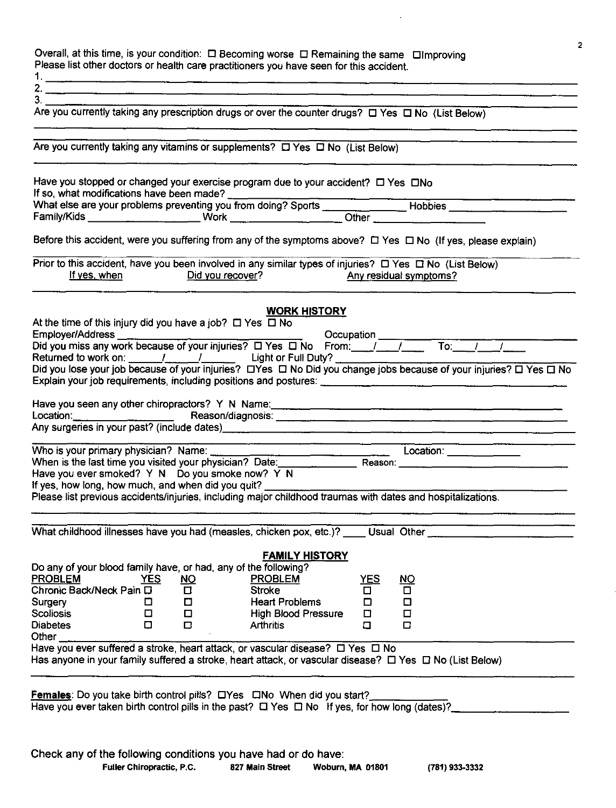Overall, at this time, is your condition:  $□$  Becoming worse  $□$  Remaining the same  $□$ Improving Please list other doctors or health care practitioners you have seen for this accident.  $1. -$ 

2.

 $3<sup>-</sup>$ 

|                                                                                                              |  | <u> Andreas and Andrew Andrew Andrew Andrew Andrew Andrew Andrew Andrew Andrew Andrew Andrew Andrew Andrew Andrew</u> |
|--------------------------------------------------------------------------------------------------------------|--|-----------------------------------------------------------------------------------------------------------------------|
| Are you currently taking any prescription drugs or over the counter drugs? $\Box$ Yes $\Box$ No (List Below) |  |                                                                                                                       |
|                                                                                                              |  |                                                                                                                       |
|                                                                                                              |  |                                                                                                                       |

| Are you currently taking any vitamins or supplements? $\Box$ Yes $\Box$ No (List Below)  |        |                                      |                                                      |                       |          |                                                                                                                                                                                                                                |
|------------------------------------------------------------------------------------------|--------|--------------------------------------|------------------------------------------------------|-----------------------|----------|--------------------------------------------------------------------------------------------------------------------------------------------------------------------------------------------------------------------------------|
| Have you stopped or changed your exercise program due to your accident? □ Yes □No        |        |                                      |                                                      |                       |          |                                                                                                                                                                                                                                |
|                                                                                          |        |                                      |                                                      |                       |          |                                                                                                                                                                                                                                |
|                                                                                          |        |                                      |                                                      |                       |          |                                                                                                                                                                                                                                |
|                                                                                          |        |                                      |                                                      |                       |          | Before this accident, were you suffering from any of the symptoms above? $\Box$ Yes $\Box$ No (If yes, please explain)                                                                                                         |
|                                                                                          |        |                                      | If yes, when Did you recover? Any residual symptoms? |                       |          | Prior to this accident, have you been involved in any similar types of injuries? $\Box$ Yes $\Box$ No (List Below)                                                                                                             |
|                                                                                          |        |                                      |                                                      | <b>WORK HISTORY</b>   |          |                                                                                                                                                                                                                                |
| At the time of this injury did you have a job? $\Box$ Yes $\Box$ No                      |        |                                      |                                                      |                       |          |                                                                                                                                                                                                                                |
|                                                                                          |        |                                      |                                                      |                       |          |                                                                                                                                                                                                                                |
|                                                                                          |        |                                      |                                                      |                       |          |                                                                                                                                                                                                                                |
|                                                                                          |        |                                      |                                                      |                       |          |                                                                                                                                                                                                                                |
|                                                                                          |        |                                      |                                                      |                       |          |                                                                                                                                                                                                                                |
|                                                                                          |        |                                      |                                                      |                       |          |                                                                                                                                                                                                                                |
|                                                                                          |        |                                      |                                                      |                       |          |                                                                                                                                                                                                                                |
|                                                                                          |        |                                      |                                                      |                       |          |                                                                                                                                                                                                                                |
|                                                                                          |        |                                      |                                                      |                       |          |                                                                                                                                                                                                                                |
|                                                                                          |        |                                      |                                                      |                       |          |                                                                                                                                                                                                                                |
|                                                                                          |        |                                      |                                                      |                       |          | Who is your primary physician? Name:<br>When is the last time you visited your physician? Date:<br>Hous you our amate of 2. Your Date: The contract of the contract of 2. You have been also the contract of 2. You            |
| Have you ever smoked? Y N Do you smoke now? Y N                                          |        |                                      |                                                      |                       |          |                                                                                                                                                                                                                                |
| If yes, how long, how much, and when did you quit?                                       |        |                                      |                                                      |                       |          |                                                                                                                                                                                                                                |
|                                                                                          |        |                                      |                                                      |                       |          | Please list previous accidents/injuries, including major childhood traumas with dates and hospitalizations.                                                                                                                    |
|                                                                                          |        |                                      |                                                      |                       |          |                                                                                                                                                                                                                                |
|                                                                                          |        |                                      |                                                      |                       |          | What childhood illnesses have you had (measles, chicken pox, etc.)? [159] Usual Other [16] Usual Other [16] Musumman Context Context Context Context Context Context Context Context Context Context Context Context Context C |
|                                                                                          |        |                                      |                                                      |                       |          |                                                                                                                                                                                                                                |
|                                                                                          |        |                                      |                                                      | <b>FAMILY HISTORY</b> |          |                                                                                                                                                                                                                                |
| Do any of your blood family have, or had, any of the following?                          |        |                                      |                                                      |                       |          |                                                                                                                                                                                                                                |
| PROBLEM YES<br>Chronic Back/Neck Pain □                                                  |        | <u>NO</u><br>$\overline{\mathbf{D}}$ | <b>PROBLEM</b><br>Stroke                             |                       | YES<br>미 | <u>NO</u>                                                                                                                                                                                                                      |
|                                                                                          |        |                                      | <b>Heart Problems</b>                                |                       |          |                                                                                                                                                                                                                                |
| Surgery<br><b>Scoliosis</b>                                                              | □<br>⊡ | $\Box$<br>□                          | <b>High Blood Pressure</b>                           |                       | □<br>□   | □<br>□                                                                                                                                                                                                                         |
| <b>Diabetes</b>                                                                          | ۵      | □                                    | <b>Arthritis</b>                                     |                       | О        | $\Box$                                                                                                                                                                                                                         |
| Other                                                                                    |        |                                      |                                                      |                       |          |                                                                                                                                                                                                                                |
| Have you ever suffered a stroke, heart attack, or vascular disease? $\Box$ Yes $\Box$ No |        |                                      |                                                      |                       |          |                                                                                                                                                                                                                                |
|                                                                                          |        |                                      |                                                      |                       |          | Has anyone in your family suffered a stroke, heart attack, or vascular disease? $\Box$ Yes $\Box$ No (List Below)                                                                                                              |
|                                                                                          |        |                                      |                                                      |                       |          |                                                                                                                                                                                                                                |

Females: Do you take birth control pills? □Yes □No When did you start? Have you ever taken birth control pills in the past? □ Yes □ No If yes, for how long (dates)? 2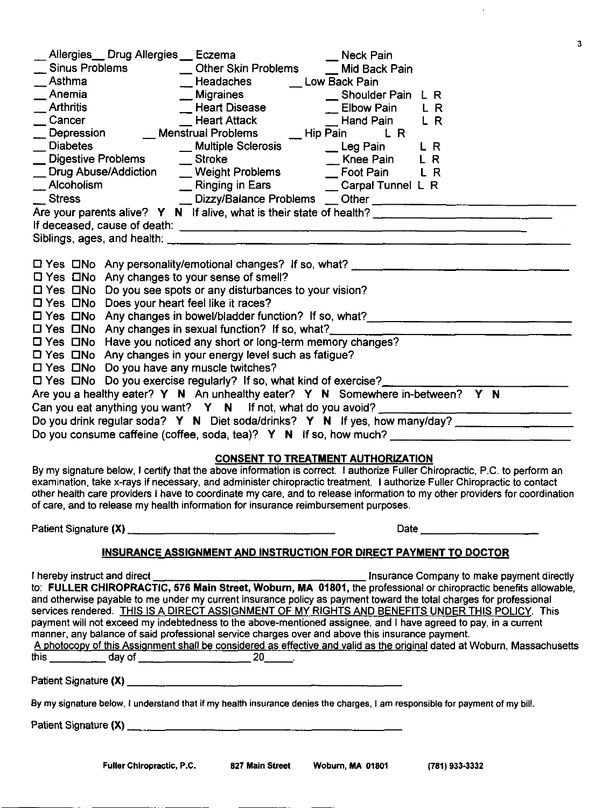| З                                                                                                                                                                                                                                                                                                                                                |
|--------------------------------------------------------------------------------------------------------------------------------------------------------------------------------------------------------------------------------------------------------------------------------------------------------------------------------------------------|
| Allergies__ Drug Allergies __ Eczema<br>_ Neck Pain                                                                                                                                                                                                                                                                                              |
| <b>Sinus Problems</b><br>__ Other Skin Problems ___ Mid Back Pain                                                                                                                                                                                                                                                                                |
| __Headaches ____ Low Back Pain                                                                                                                                                                                                                                                                                                                   |
|                                                                                                                                                                                                                                                                                                                                                  |
|                                                                                                                                                                                                                                                                                                                                                  |
| — Elbow Pain<br>— Heart Disease — Shoulder Pain<br>— Heart Attack — Heart Attack<br>strual Problems<br>— Hand Pain<br>— Hand Pain<br>— Hand Pain<br>— Hand Pain<br>Arthritis<br>Cancer<br>Depression<br>Leart Attack<br>Leart Attack<br>Leart Attack<br>Leart Attack<br>Leart Attack<br>Leart Attack<br>Leart Attack<br>Leart Attack<br>Hip Pain |
| <b>Diabetes</b><br>__ Multiple Sclerosis ____ Leg Pain<br>L R                                                                                                                                                                                                                                                                                    |
| └── Digestive Problems 	 	 To Stroke 	 To Minee Pain 	 L R<br>__ Drug Abuse/Addiction 	 __ Weight Problems 	 __ Foot Pain 	 L R                                                                                                                                                                                                                  |
|                                                                                                                                                                                                                                                                                                                                                  |
| __ Ringing in Ears ____ _ _ Carpal Tunnel L R<br>__ Alcoholism<br>__ Stress                                                                                                                                                                                                                                                                      |
|                                                                                                                                                                                                                                                                                                                                                  |
| Are your parents alive? Y N If alive, what is their state of health?                                                                                                                                                                                                                                                                             |
|                                                                                                                                                                                                                                                                                                                                                  |
|                                                                                                                                                                                                                                                                                                                                                  |
|                                                                                                                                                                                                                                                                                                                                                  |
| $\Box$ Yes $\Box$ No Any changes to your sense of smell?                                                                                                                                                                                                                                                                                         |
| □ Yes □No Do you see spots or any disturbances to your vision?                                                                                                                                                                                                                                                                                   |
| □ Yes □No Does your heart feel like it races?                                                                                                                                                                                                                                                                                                    |
| □ Yes □No Any changes in bowel/bladder function? If so, what?<br>□ Yes □No Any changes in bowel/bladder function? If so, what?                                                                                                                                                                                                                   |
| [ Yes CINo Any changes in sexual function? If so, what?                                                                                                                                                                                                                                                                                          |
| □ Yes □No Have you noticed any short or long-term memory changes?                                                                                                                                                                                                                                                                                |
| $\Box$ Yes $\Box$ No Any changes in your energy level such as fatigue?                                                                                                                                                                                                                                                                           |
| □ Yes □No Do you have any muscle twitches?                                                                                                                                                                                                                                                                                                       |
| □ Yes □No Do you exercise regularly? If so, what kind of exercise?                                                                                                                                                                                                                                                                               |
| Are you a healthy eater? Y N An unhealthy eater? Y N Somewhere in-between? Y N                                                                                                                                                                                                                                                                   |
|                                                                                                                                                                                                                                                                                                                                                  |
| Do you drink regular soda? Y N Diet soda/drinks? Y N If yes, how many/day?                                                                                                                                                                                                                                                                       |
| Do you consume caffeine (coffee, soda, tea)? $Y \ N$ if so, how much?                                                                                                                                                                                                                                                                            |
|                                                                                                                                                                                                                                                                                                                                                  |
| <b>CONSENT TO TREATMENT AUTHORIZATION</b><br>By my signature below, I certify that the above information is correct. I authorize Fuller Chiropractic, P.C. to perform an                                                                                                                                                                         |
| examination, take x-rays if necessary, and administer chiropractic treatment. I authorize Fuller Chiropractic to contact                                                                                                                                                                                                                         |
| other health care providers I have to coordinate my care, and to release information to my other providers for coordination                                                                                                                                                                                                                      |
| of care, and to release my health information for insurance reimbursement purposes.                                                                                                                                                                                                                                                              |
| Date $\qquad \qquad \qquad$                                                                                                                                                                                                                                                                                                                      |
|                                                                                                                                                                                                                                                                                                                                                  |
| INSURANCE ASSIGNMENT AND INSTRUCTION FOR DIRECT PAYMENT TO DOCTOR                                                                                                                                                                                                                                                                                |
|                                                                                                                                                                                                                                                                                                                                                  |
| to: FULLER CHIROPRACTIC, 576 Main Street, Woburn, MA 01801, the professional or chiropractic benefits allowable,                                                                                                                                                                                                                                 |
| and otherwise payable to me under my current insurance policy as payment toward the total charges for professional                                                                                                                                                                                                                               |
| services rendered. THIS IS A DIRECT ASSIGNMENT OF MY RIGHTS AND BENEFITS UNDER THIS POLICY. This<br>payment will not exceed my indebtedness to the above-mentioned assignee, and I have agreed to pay, in a current                                                                                                                              |
| manner, any balance of said professional service charges over and above this insurance payment.                                                                                                                                                                                                                                                  |
| A photocopy of this Assignment shall be considered as effective and valid as the original dated at Woburn, Massachusetts                                                                                                                                                                                                                         |
|                                                                                                                                                                                                                                                                                                                                                  |
|                                                                                                                                                                                                                                                                                                                                                  |
| By my signature below, I understand that if my health insurance denies the charges, I am responsible for payment of my bill.                                                                                                                                                                                                                     |
|                                                                                                                                                                                                                                                                                                                                                  |
|                                                                                                                                                                                                                                                                                                                                                  |

3

 $\hat{\mathbf{r}}$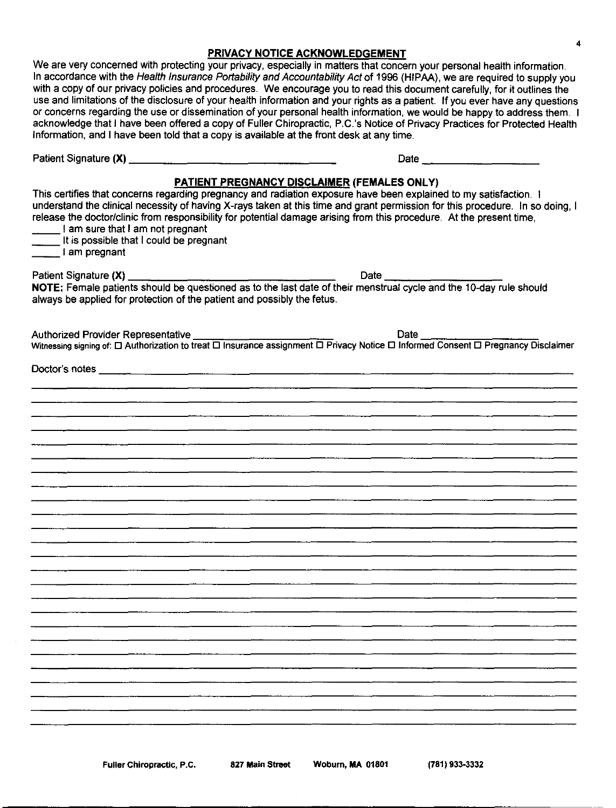# PRIVACY NOTICE ACKNOWLEDGEMENT

We are very concerned with protecting your privacy, especially in matters that concern your personal health information. In accordance with the Health Insurance Portability and Accountability Act of 1996 (HIPAA), we are required to supply you with a copy of our privacy policies and procedures. We encourage you to read this document carefully, for it outlines the use and limitations of the disclosure of your health information and your rights as a patient. If you ever have any questions or concerns regarding the use or dissemination of your personal health information, we would be happy to address them. I acknowledge that I have been offered a copy of Fuller Chiropractic, P.C.'s Notice of Privacy Practices for Protected Health Information, and I have been told that a copy is available at the front desk at any time.

|                                                                                               | Date $\frac{1}{2}$ $\frac{1}{2}$ $\frac{1}{2}$ $\frac{1}{2}$ $\frac{1}{2}$ $\frac{1}{2}$ $\frac{1}{2}$ $\frac{1}{2}$ $\frac{1}{2}$ $\frac{1}{2}$ $\frac{1}{2}$ $\frac{1}{2}$ $\frac{1}{2}$ $\frac{1}{2}$ $\frac{1}{2}$ $\frac{1}{2}$ $\frac{1}{2}$ $\frac{1}{2}$ $\frac{1}{2}$ $\frac{1}{2}$ $\frac{1}{2}$ $\frac{1}{$                                                                                                           |
|-----------------------------------------------------------------------------------------------|----------------------------------------------------------------------------------------------------------------------------------------------------------------------------------------------------------------------------------------------------------------------------------------------------------------------------------------------------------------------------------------------------------------------------------|
|                                                                                               |                                                                                                                                                                                                                                                                                                                                                                                                                                  |
| $\frac{1}{2}$ am sure that I am not pregnant<br>_____ It is possible that I could be pregnant | <b>PATIENT PREGNANCY DISCLAIMER (FEMALES ONLY)</b><br>This certifies that concerns regarding pregnancy and radiation exposure have been explained to my satisfaction. I<br>understand the clinical necessity of having X-rays taken at this time and grant permission for this procedure. In so doing, I<br>release the doctor/clinic from responsibility for potential damage arising from this procedure. At the present time, |
| l am pregnant                                                                                 |                                                                                                                                                                                                                                                                                                                                                                                                                                  |
|                                                                                               |                                                                                                                                                                                                                                                                                                                                                                                                                                  |
| always be applied for protection of the patient and possibly the fetus.                       |                                                                                                                                                                                                                                                                                                                                                                                                                                  |
|                                                                                               |                                                                                                                                                                                                                                                                                                                                                                                                                                  |
|                                                                                               |                                                                                                                                                                                                                                                                                                                                                                                                                                  |
|                                                                                               |                                                                                                                                                                                                                                                                                                                                                                                                                                  |
|                                                                                               |                                                                                                                                                                                                                                                                                                                                                                                                                                  |
|                                                                                               |                                                                                                                                                                                                                                                                                                                                                                                                                                  |
|                                                                                               |                                                                                                                                                                                                                                                                                                                                                                                                                                  |
|                                                                                               |                                                                                                                                                                                                                                                                                                                                                                                                                                  |
|                                                                                               |                                                                                                                                                                                                                                                                                                                                                                                                                                  |
|                                                                                               |                                                                                                                                                                                                                                                                                                                                                                                                                                  |
|                                                                                               |                                                                                                                                                                                                                                                                                                                                                                                                                                  |
|                                                                                               |                                                                                                                                                                                                                                                                                                                                                                                                                                  |
|                                                                                               |                                                                                                                                                                                                                                                                                                                                                                                                                                  |
|                                                                                               |                                                                                                                                                                                                                                                                                                                                                                                                                                  |
|                                                                                               |                                                                                                                                                                                                                                                                                                                                                                                                                                  |
|                                                                                               |                                                                                                                                                                                                                                                                                                                                                                                                                                  |
|                                                                                               |                                                                                                                                                                                                                                                                                                                                                                                                                                  |
|                                                                                               |                                                                                                                                                                                                                                                                                                                                                                                                                                  |
|                                                                                               |                                                                                                                                                                                                                                                                                                                                                                                                                                  |
|                                                                                               |                                                                                                                                                                                                                                                                                                                                                                                                                                  |
|                                                                                               |                                                                                                                                                                                                                                                                                                                                                                                                                                  |
|                                                                                               |                                                                                                                                                                                                                                                                                                                                                                                                                                  |
|                                                                                               |                                                                                                                                                                                                                                                                                                                                                                                                                                  |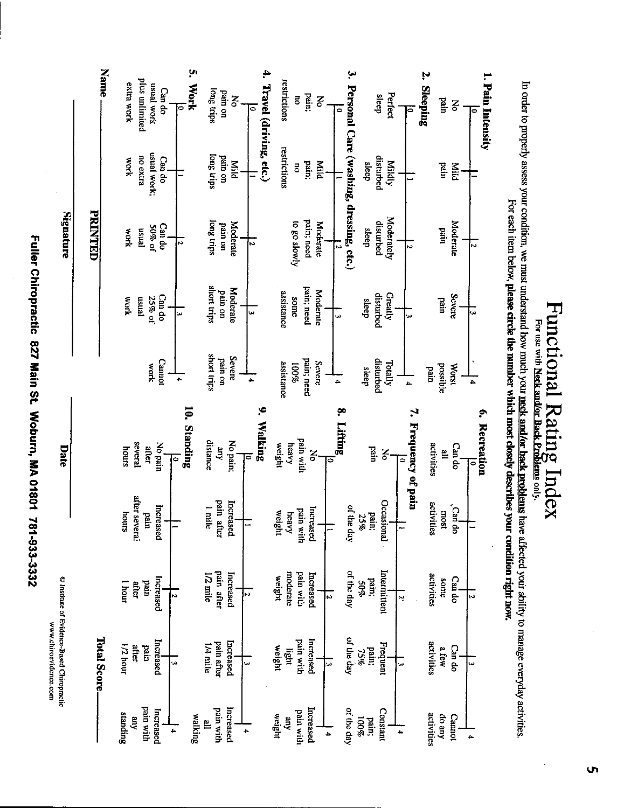Fuller Chiropractic 827 Main St. Woburn, MA 01801 781-933-3332 Fuller Chiropractic 827 Main St. Woburn, MA 01801 787-933-3332

L~ سمه:<br>Fage<br>F s a Based Cl<br>Isoevider h y 3

|                          | C Institute of Evidence-Based Christiener |              |                          | Date                                |                           |                        | <i><b>Signature</b></i> |                                         |                                   |
|--------------------------|-------------------------------------------|--------------|--------------------------|-------------------------------------|---------------------------|------------------------|-------------------------|-----------------------------------------|-----------------------------------|
|                          | <b>Total Score</b>                        |              |                          |                                     |                           |                        | <b>PRINTED</b>          |                                         | <b>Name</b>                       |
|                          |                                           |              |                          |                                     |                           |                        |                         |                                         |                                   |
| standing                 | 1/2 hour                                  | I hour       | smoup                    | sanoy                               |                           | work                   | work                    | work                                    | extra work                        |
| pain with<br>Ê           | after<br>mud                              | after        | after several            | several                             |                           | rensn                  | <b>ensn</b>             | no extra                                | plus unlimited                    |
|                          |                                           | und          | pain                     | after                               | work                      | 25% of                 | 50% of                  | usual work;                             | usual work                        |
| Increased                | Increased                                 | Increased    | Increased                | No pain                             | <b>Cannot</b>             | Can do                 | Can do                  | Can do                                  | Can do                            |
| 4                        | فن                                        | N            |                          | $\bullet$                           | 4                         | ىئ                     | Ν                       |                                         | 0                                 |
| walking                  |                                           |              |                          | 10. Standing                        |                           |                        |                         |                                         | 'n,<br><b>Work</b>                |
| Ë                        | l/4 mile                                  | 1/2 mile     | l mile                   | distance                            | short trips               | squit trips            | long trips              | long trips                              | long trips                        |
| pain with                | pain after                                | pain after   | pain a<br>after          | Lip                                 | pain on                   | pain on                | pain on                 | pain on                                 | pain on                           |
| Increased                | Increased                                 | Increased    | Increased                | No pain;                            | Severe                    | <b>Moderate</b>        | <b>Moderate</b>         | Nild                                    | Ķ                                 |
| 4                        | ىيا                                       | N            |                          | $\bar{\circ}$                       | 4                         |                        |                         |                                         |                                   |
|                          |                                           |              |                          | $\bullet$<br>Walking                |                           | سا                     | N                       |                                         | ą.<br>Travel (driving, etc.)<br>0 |
| weight                   | weight                                    | weight       | weight                   | weight                              |                           |                        |                         |                                         |                                   |
| Aue                      | light                                     | moderate     | heavy                    | heavy                               | assistance                | assistance             |                         | restrictions                            | restrictions                      |
| pain with                | pain with                                 | pain with    | pain with                | pain with                           | pain; need<br><b>100%</b> | some                   | to go slowly            | 5                                       | Z                                 |
| Increased                | Increased                                 | Increased    | Increased                | $\mathbf{z}$                        | Severe                    | pain: need<br>Moderate | pain; need              | pain;                                   | Pain;                             |
| 4                        | ما                                        | N            | $\overline{\phantom{0}}$ | ఠ                                   |                           |                        | Moderate                | Mild                                    | $\mathbf{g}% _{0}$                |
|                          |                                           |              |                          | ę.<br>Lifting.                      | 4                         | نیا                    | ╔                       |                                         | $\bar{\bullet}$                   |
| of the day               | of the day                                | of the day   | of the day               |                                     |                           |                        |                         | Personal Care (washing, dressing, etc.) | ب                                 |
| <b>26001</b><br>pain:    | 75%                                       | 50%          | 25%                      |                                     | sleep                     | sleep                  | deap                    | sleep                                   |                                   |
|                          | pain;                                     | pam;         | pain;                    | pain                                | disturbed                 | disturbed              | disturbed               | disturbed                               | sleep                             |
| Constant                 | Frequent                                  | Intermittent | Occasional               | Š                                   | Totally                   | Greatly                | <b>Moderately</b>       | Mildly                                  | Perfect                           |
| $\overline{\phantom{a}}$ | ىب                                        | Ņ            | ÷                        |                                     |                           |                        |                         |                                         |                                   |
|                          |                                           |              |                          | $\ddot{\cdot}$<br>Frequency of pain | 4                         |                        | N                       |                                         | $\ddot{\bullet}$                  |
| activities               | activities                                | activities   | activities               | activities                          | ured                      |                        |                         |                                         | Ņ<br><b>Sleeping</b>              |
| do any                   | a few                                     | some         | most                     | Ë                                   | possible                  | pain                   | pain                    | Dain                                    | <b>Tain</b>                       |
| Cannot                   | Can do                                    | Cari do      | Cari do                  | Can do                              | <b>Worst</b>              | Severe                 | Moderate                | Mild                                    | š                                 |
| Ł.                       | ىيا                                       | Ñ            |                          | 0                                   | 4                         | <mark>ی</mark> ن       | $\sim$                  |                                         | 0                                 |
|                          |                                           |              |                          | 6. Recreation                       |                           |                        |                         |                                         | 1. Pain Intensity                 |

 $\begin{array}{l} \mathbf{m}\ \mathbf{c}\ \mathbf{u}\ \mathbf{w}\ \mathbf{w}\ \mathbf{w}\ \mathbf{v}\ \mathbf{w}\ \mathbf{v}\ \mathbf{v}\ \mathbf{v}\ \mathbf{w}\ \mathbf{v}\ \mathbf{v}\ \mathbf{v}\ \mathbf{v}\ \mathbf{v}\ \mathbf{v}\ \mathbf{v}\ \mathbf{v}\ \mathbf{v}\ \mathbf{v}\ \mathbf{v}\ \mathbf{v}\ \mathbf{v}\ \mathbf{v}\ \mathbf{v}\ \mathbf{v}\ \mathbf{v}\ \mathbf{v}\ \mathbf{v}\ \mathbf{v}\ \mathbf{v}\ \mathbf{v}\ \mathbf{v}\ \mathbf$  $\Xi^*$ 

 $\sim$  reduces the reduces  $\sim$  $\mathbb{S}^2$ 0 o 't O  $\frac{8}{5}$   $\frac{5}{5}$ 3 C ~ n<br>모급 G. P.  $\sigma$  $\blacksquare$ th <u>Neck</u><br>utch yo<br>umber ~~ ~ ~~

 $\blacksquare$ ro

₿. R

 $\frac{1}{2}$  Or

 $\overline{S}$ 

Ŷ,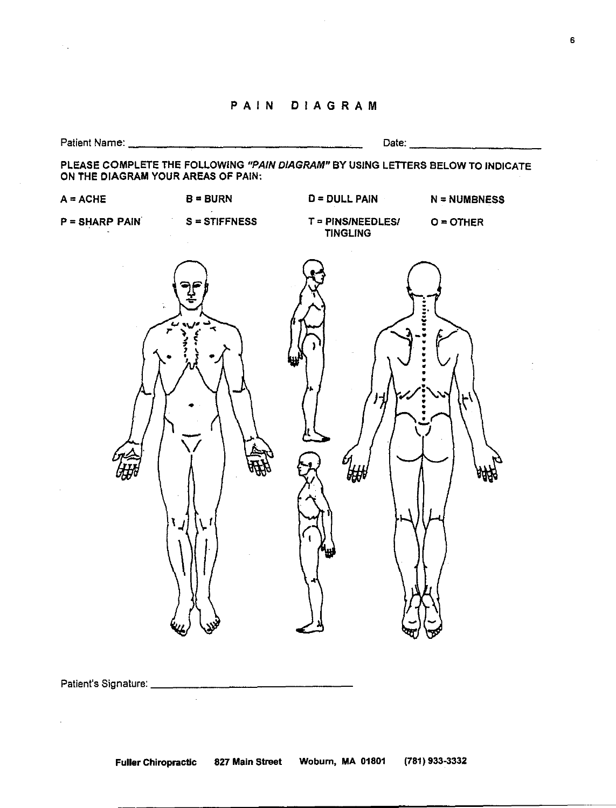# PAIN DIAGRAM



Patient's Signature.

 $\mathcal{L}$ 

6